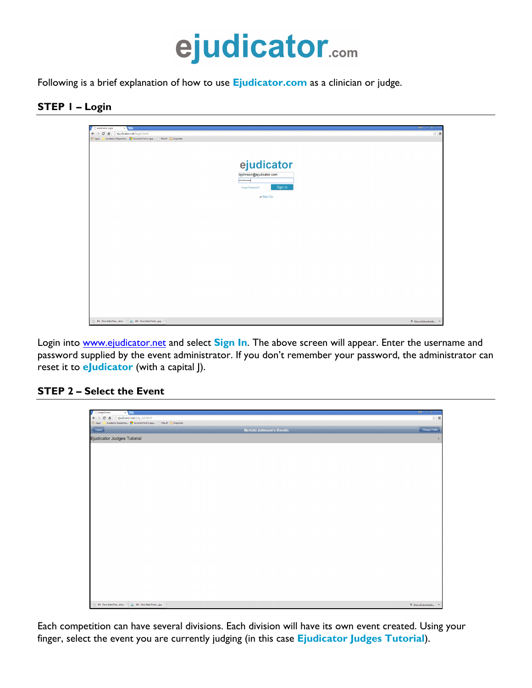

Following is a brief explanation of how to use **Ejudicator.com** as a clinician or judge.

## **STEP 1 – Login**



Login into www.ejudicator.net and select **Sign In**. The above screen will appear. Enter the username and password supplied by the event administrator. If you don't remember your password, the administrator can reset it to **eJudicator** (with a capital J).

## **STEP 2 – Select the Event**



Each competition can have several divisions. Each division will have its own event created. Using your finger, select the event you are currently judging (in this case **Ejudicator Judges Tutorial**).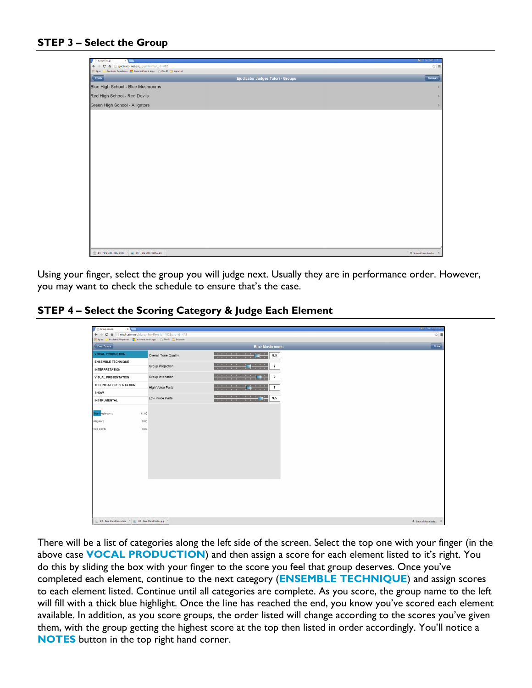## **STEP 3 – Select the Group**

| Audge Groups<br>$\times$                                                                                |                                          | $Ban    =   g   \times$ |
|---------------------------------------------------------------------------------------------------------|------------------------------------------|-------------------------|
| fi Dejudicator.net/jdg_grp.html?evt_id=482<br>$\mathbf{C}$<br>$\leftarrow$ $\rightarrow$                |                                          | $\mathbb{R}^3 \equiv$   |
| Academic Departme <b>For</b> Incorrect font is app [3] Plex It! <b>Call Imported</b><br><b>III</b> Apps |                                          |                         |
| Events                                                                                                  | <b>Ejudicator Judges Tutori - Groups</b> | Summary                 |
| Blue High School - Blue Mushrooms                                                                       |                                          | $\,$                    |
| Red High School - Red Devils                                                                            |                                          | $\,$                    |
| Green High School - Alligators                                                                          |                                          | $\,$                    |
|                                                                                                         |                                          |                         |
|                                                                                                         |                                          |                         |
|                                                                                                         |                                          |                         |
|                                                                                                         |                                          |                         |
|                                                                                                         |                                          |                         |
|                                                                                                         |                                          |                         |
|                                                                                                         |                                          |                         |
|                                                                                                         |                                          |                         |
|                                                                                                         |                                          |                         |
|                                                                                                         |                                          |                         |
|                                                                                                         |                                          |                         |
|                                                                                                         |                                          |                         |
|                                                                                                         |                                          |                         |
|                                                                                                         |                                          |                         |
|                                                                                                         |                                          |                         |
|                                                                                                         |                                          |                         |
|                                                                                                         |                                          |                         |
|                                                                                                         |                                          |                         |
| BR - Peru State Presdock - E BR - Peru State Presti jpg -                                               |                                          | # Show all downloads X  |
|                                                                                                         |                                          |                         |

Using your finger, select the group you will judge next. Usually they are in performance order. However, you may want to check the schedule to ensure that's the case.

## **STEP 4 – Select the Scoring Category & Judge Each Element**

| Group Scores                                                  | $\times$ $\blacksquare$ |                                                       |                                                                                                                   | $\text{Beta}$ $\vert \vert = \vert \mathcal{G} \vert$ X |
|---------------------------------------------------------------|-------------------------|-------------------------------------------------------|-------------------------------------------------------------------------------------------------------------------|---------------------------------------------------------|
| $\leftarrow$ $\rightarrow$ C<br><b>III Apps</b>               |                         | File indicator.net/idq_scr.html?evt_id=4828grp_id=443 |                                                                                                                   | ☆ ≡                                                     |
| Event Groups                                                  |                         |                                                       | <b>Blue Mushrooms</b>                                                                                             | Notes                                                   |
| <b>VOCAL PRODUCTION</b>                                       |                         | Overall Tone Quality                                  | $8.5\,$                                                                                                           |                                                         |
| <b>ENSEMBLE TECHNIQUE</b>                                     |                         |                                                       |                                                                                                                   |                                                         |
| <b>INTERPRETATION</b>                                         |                         | Group Projection                                      | <del>11111111</del><br>$\overline{7}$                                                                             |                                                         |
| <b>VISUAL PRESENTATION</b>                                    |                         | Group Intonation                                      | the contract of the contract of the state of<br>9<br><b>The Color</b><br><b>The Committee Committee Committee</b> |                                                         |
| <b>TECHNICAL PRESENTATION</b>                                 |                         | High Voice Parts                                      | <del>1111111</del><br>$\overline{7}$                                                                              |                                                         |
| SHOW                                                          |                         |                                                       |                                                                                                                   |                                                         |
| <b>INSTRUMENTAL</b>                                           |                         | Low Voice Parts                                       | 9.5                                                                                                               |                                                         |
| <b>Hue Mushrooms</b>                                          | 41.00                   |                                                       |                                                                                                                   |                                                         |
| Aligators                                                     | 0.00                    |                                                       |                                                                                                                   |                                                         |
| Red Devils                                                    | 0.00                    |                                                       |                                                                                                                   |                                                         |
|                                                               |                         |                                                       |                                                                                                                   |                                                         |
|                                                               |                         |                                                       |                                                                                                                   |                                                         |
|                                                               |                         |                                                       |                                                                                                                   |                                                         |
|                                                               |                         |                                                       |                                                                                                                   |                                                         |
|                                                               |                         |                                                       |                                                                                                                   |                                                         |
|                                                               |                         |                                                       |                                                                                                                   |                                                         |
|                                                               |                         |                                                       |                                                                                                                   |                                                         |
|                                                               |                         |                                                       |                                                                                                                   |                                                         |
|                                                               |                         |                                                       |                                                                                                                   |                                                         |
|                                                               |                         |                                                       |                                                                                                                   |                                                         |
|                                                               |                         |                                                       |                                                                                                                   |                                                         |
|                                                               |                         |                                                       |                                                                                                                   |                                                         |
| BR - Peru State Presdock               BR - Peru State Presti |                         |                                                       |                                                                                                                   | <b>E</b> Show all downloads X                           |

There will be a list of categories along the left side of the screen. Select the top one with your finger (in the above case **VOCAL PRODUCTION**) and then assign a score for each element listed to it's right. You do this by sliding the box with your finger to the score you feel that group deserves. Once you've completed each element, continue to the next category (**ENSEMBLE TECHNIQUE**) and assign scores to each element listed. Continue until all categories are complete. As you score, the group name to the left will fill with a thick blue highlight. Once the line has reached the end, you know you've scored each element available. In addition, as you score groups, the order listed will change according to the scores you've given them, with the group getting the highest score at the top then listed in order accordingly. You'll notice a **NOTES** button in the top right hand corner.